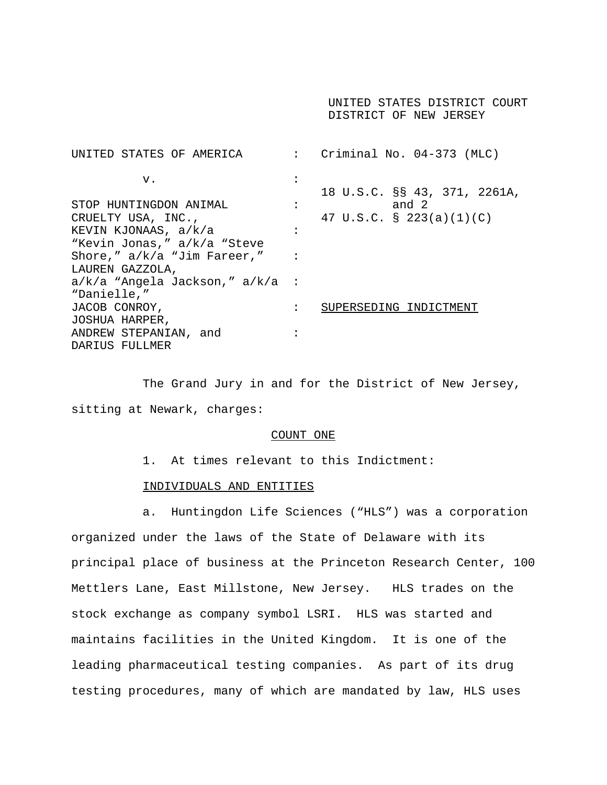UNITED STATES DISTRICT COURT DISTRICT OF NEW JERSEY

UNITED STATES OF AMERICA : Criminal No. 04-373 (MLC)  $\mathbf{v}$ .  $\qquad \qquad$  : 18 U.S.C. §§ 43, 371, 2261A, STOP HUNTINGDON ANIMAL :  $\qquad \qquad$  :  $\qquad \qquad$  and 2 CRUELTY USA, INC., 47 U.S.C. § 223(a)(1)(C) KEVIN KJONAAS, a/k/a : "Kevin Jonas," a/k/a "Steve Shore,"  $a/k/a$  "Jim Fareer," : LAUREN GAZZOLA, a/k/a "Angela Jackson," a/k/a : "Danielle," JACOB CONROY,  $\qquad \qquad : \qquad$  SUPERSEDING INDICTMENT JOSHUA HARPER, ANDREW STEPANIAN, and : DARIUS FULLMER

The Grand Jury in and for the District of New Jersey, sitting at Newark, charges:

#### COUNT ONE

1. At times relevant to this Indictment:

#### INDIVIDUALS AND ENTITIES

a. Huntingdon Life Sciences ("HLS") was a corporation organized under the laws of the State of Delaware with its principal place of business at the Princeton Research Center, 100 Mettlers Lane, East Millstone, New Jersey. HLS trades on the stock exchange as company symbol LSRI. HLS was started and maintains facilities in the United Kingdom. It is one of the leading pharmaceutical testing companies. As part of its drug testing procedures, many of which are mandated by law, HLS uses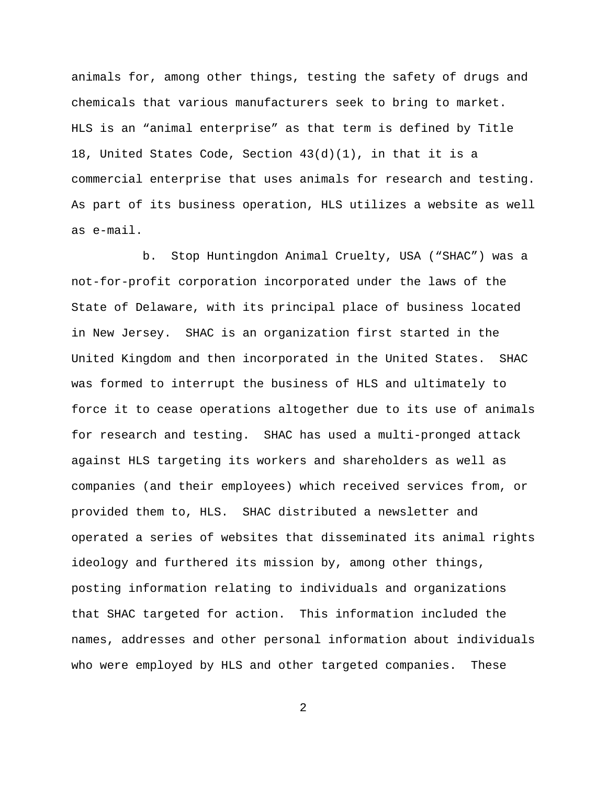animals for, among other things, testing the safety of drugs and chemicals that various manufacturers seek to bring to market. HLS is an "animal enterprise" as that term is defined by Title 18, United States Code, Section 43(d)(1), in that it is a commercial enterprise that uses animals for research and testing. As part of its business operation, HLS utilizes a website as well as e-mail.

b. Stop Huntingdon Animal Cruelty, USA ("SHAC") was a not-for-profit corporation incorporated under the laws of the State of Delaware, with its principal place of business located in New Jersey. SHAC is an organization first started in the United Kingdom and then incorporated in the United States. SHAC was formed to interrupt the business of HLS and ultimately to force it to cease operations altogether due to its use of animals for research and testing. SHAC has used a multi-pronged attack against HLS targeting its workers and shareholders as well as companies (and their employees) which received services from, or provided them to, HLS. SHAC distributed a newsletter and operated a series of websites that disseminated its animal rights ideology and furthered its mission by, among other things, posting information relating to individuals and organizations that SHAC targeted for action. This information included the names, addresses and other personal information about individuals who were employed by HLS and other targeted companies. These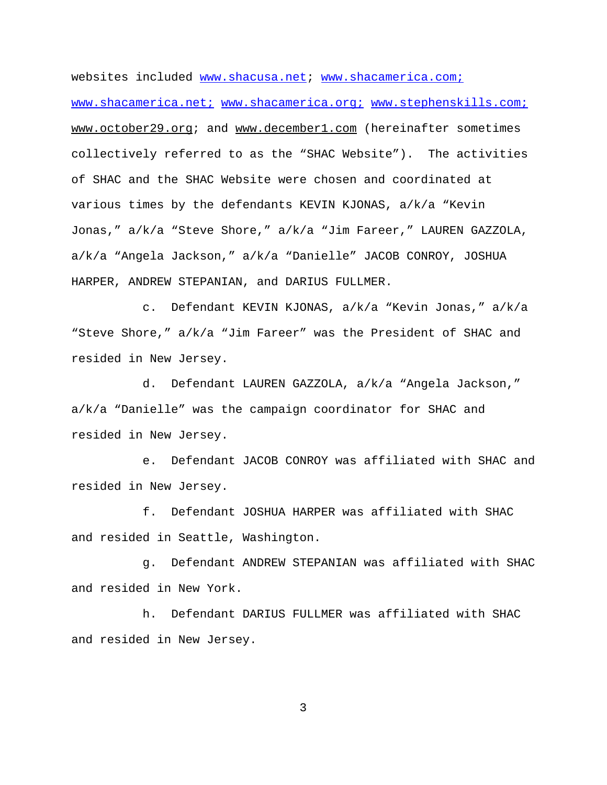websites included www.shacusa.net; www.shacamerica.com; www.shacamerica.net; www.shacamerica.org; www.stephenskills.com; www.october29.org; and www.december1.com (hereinafter sometimes collectively referred to as the "SHAC Website"). The activities of SHAC and the SHAC Website were chosen and coordinated at various times by the defendants KEVIN KJONAS,  $a/k/a$  "Kevin Jonas," a/k/a "Steve Shore," a/k/a "Jim Fareer," LAUREN GAZZOLA, a/k/a "Angela Jackson," a/k/a "Danielle" JACOB CONROY, JOSHUA HARPER, ANDREW STEPANIAN, and DARIUS FULLMER.

c. Defendant KEVIN KJONAS, a/k/a "Kevin Jonas," a/k/a "Steve Shore," a/k/a "Jim Fareer" was the President of SHAC and resided in New Jersey.

d. Defendant LAUREN GAZZOLA, a/k/a "Angela Jackson," a/k/a "Danielle" was the campaign coordinator for SHAC and resided in New Jersey.

e. Defendant JACOB CONROY was affiliated with SHAC and resided in New Jersey.

f. Defendant JOSHUA HARPER was affiliated with SHAC and resided in Seattle, Washington.

g. Defendant ANDREW STEPANIAN was affiliated with SHAC and resided in New York.

h. Defendant DARIUS FULLMER was affiliated with SHAC and resided in New Jersey.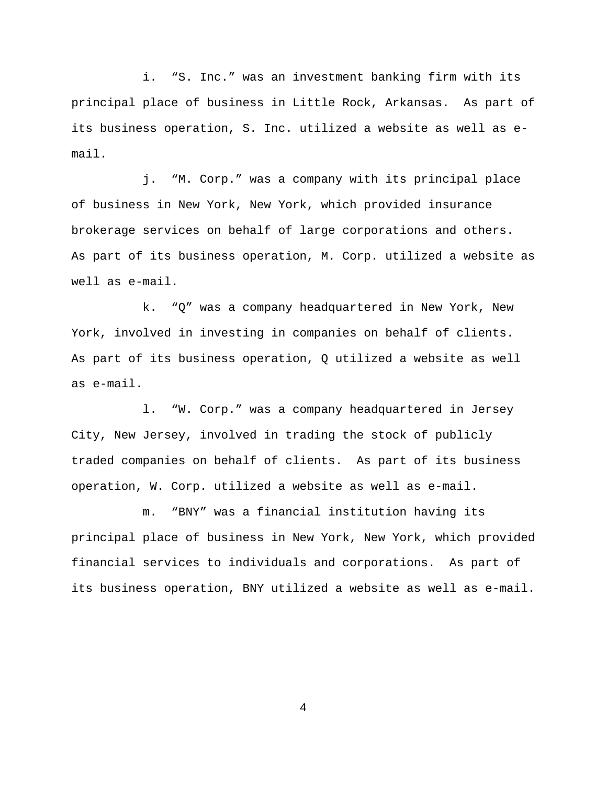i. "S. Inc." was an investment banking firm with its principal place of business in Little Rock, Arkansas. As part of its business operation, S. Inc. utilized a website as well as email.

j. "M. Corp." was a company with its principal place of business in New York, New York, which provided insurance brokerage services on behalf of large corporations and others. As part of its business operation, M. Corp. utilized a website as well as e-mail.

k. "Q" was a company headquartered in New York, New York, involved in investing in companies on behalf of clients. As part of its business operation, Q utilized a website as well as e-mail.

l. "W. Corp." was a company headquartered in Jersey City, New Jersey, involved in trading the stock of publicly traded companies on behalf of clients. As part of its business operation, W. Corp. utilized a website as well as e-mail.

m. "BNY" was a financial institution having its principal place of business in New York, New York, which provided financial services to individuals and corporations. As part of its business operation, BNY utilized a website as well as e-mail.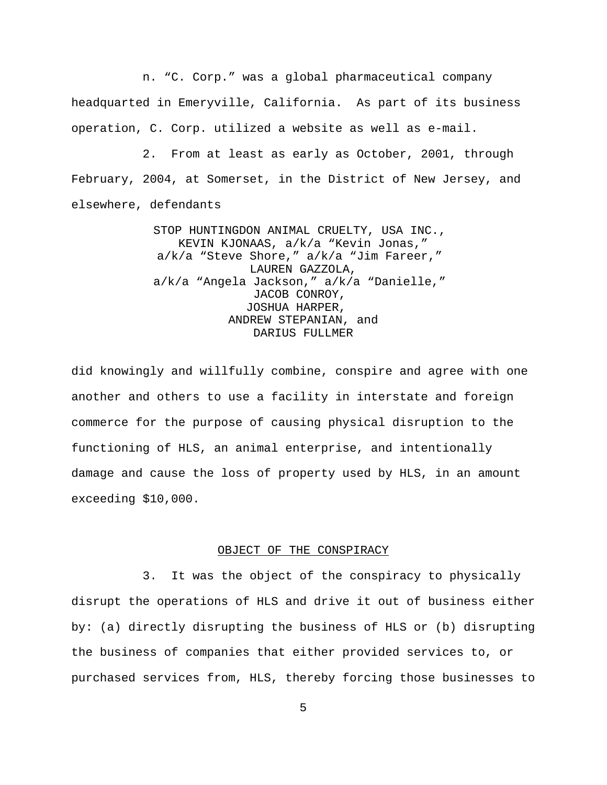n. "C. Corp." was a global pharmaceutical company headquarted in Emeryville, California. As part of its business operation, C. Corp. utilized a website as well as e-mail.

2. From at least as early as October, 2001, through February, 2004, at Somerset, in the District of New Jersey, and elsewhere, defendants

> STOP HUNTINGDON ANIMAL CRUELTY, USA INC., KEVIN KJONAAS, a/k/a "Kevin Jonas," a/k/a "Steve Shore," a/k/a "Jim Fareer," LAUREN GAZZOLA, a/k/a "Angela Jackson," a/k/a "Danielle," JACOB CONROY, JOSHUA HARPER, ANDREW STEPANIAN, and DARIUS FULLMER

did knowingly and willfully combine, conspire and agree with one another and others to use a facility in interstate and foreign commerce for the purpose of causing physical disruption to the functioning of HLS, an animal enterprise, and intentionally damage and cause the loss of property used by HLS, in an amount exceeding \$10,000.

# OBJECT OF THE CONSPIRACY

3. It was the object of the conspiracy to physically disrupt the operations of HLS and drive it out of business either by: (a) directly disrupting the business of HLS or (b) disrupting the business of companies that either provided services to, or purchased services from, HLS, thereby forcing those businesses to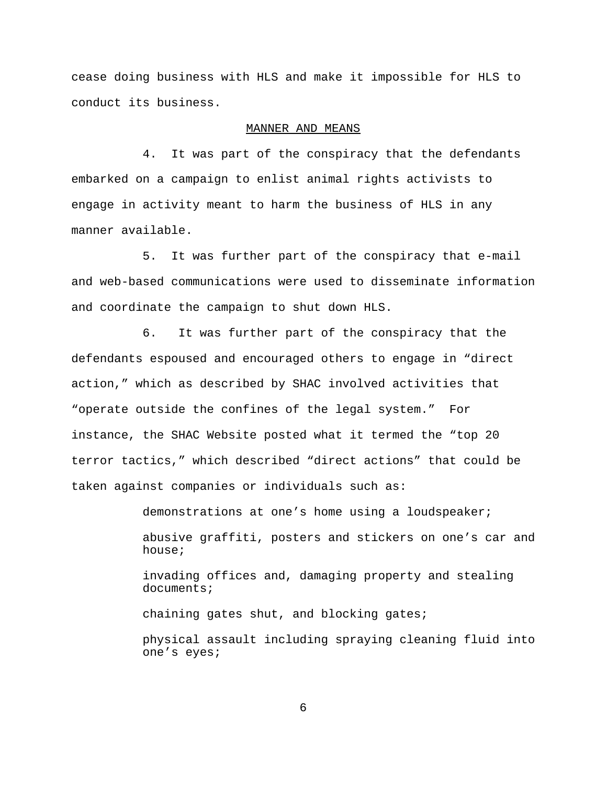cease doing business with HLS and make it impossible for HLS to conduct its business.

#### MANNER AND MEANS

4. It was part of the conspiracy that the defendants embarked on a campaign to enlist animal rights activists to engage in activity meant to harm the business of HLS in any manner available.

5. It was further part of the conspiracy that e-mail and web-based communications were used to disseminate information and coordinate the campaign to shut down HLS.

6. It was further part of the conspiracy that the defendants espoused and encouraged others to engage in "direct action," which as described by SHAC involved activities that "operate outside the confines of the legal system." For instance, the SHAC Website posted what it termed the "top 20 terror tactics," which described "direct actions" that could be taken against companies or individuals such as:

demonstrations at one's home using a loudspeaker;

abusive graffiti, posters and stickers on one's car and house;

invading offices and, damaging property and stealing documents;

chaining gates shut, and blocking gates;

physical assault including spraying cleaning fluid into one's eyes;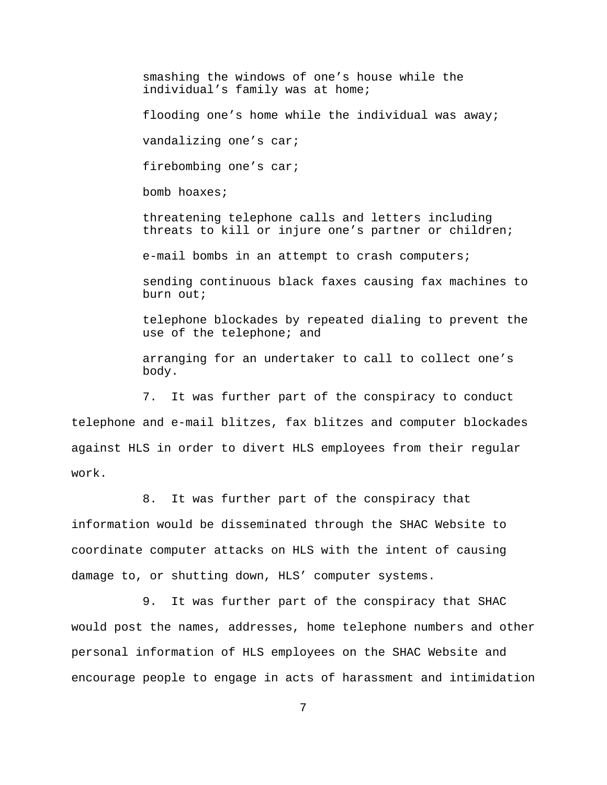smashing the windows of one's house while the individual's family was at home; flooding one's home while the individual was away; vandalizing one's car; firebombing one's car; bomb hoaxes; threatening telephone calls and letters including threats to kill or injure one's partner or children; e-mail bombs in an attempt to crash computers; sending continuous black faxes causing fax machines to burn out; telephone blockades by repeated dialing to prevent the use of the telephone; and arranging for an undertaker to call to collect one's body. 7. It was further part of the conspiracy to conduct telephone and e-mail blitzes, fax blitzes and computer blockades against HLS in order to divert HLS employees from their regular work.

8. It was further part of the conspiracy that

information would be disseminated through the SHAC Website to coordinate computer attacks on HLS with the intent of causing damage to, or shutting down, HLS' computer systems.

9. It was further part of the conspiracy that SHAC would post the names, addresses, home telephone numbers and other personal information of HLS employees on the SHAC Website and encourage people to engage in acts of harassment and intimidation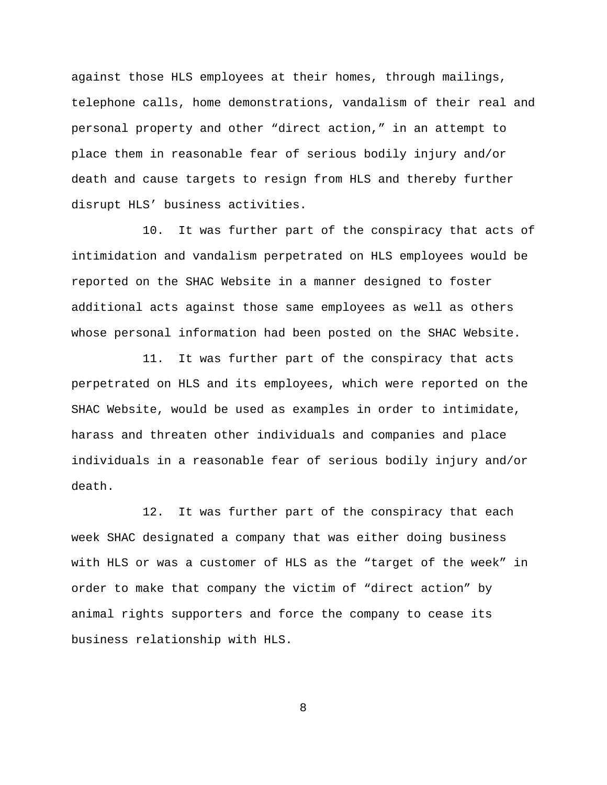against those HLS employees at their homes, through mailings, telephone calls, home demonstrations, vandalism of their real and personal property and other "direct action," in an attempt to place them in reasonable fear of serious bodily injury and/or death and cause targets to resign from HLS and thereby further disrupt HLS' business activities.

10. It was further part of the conspiracy that acts of intimidation and vandalism perpetrated on HLS employees would be reported on the SHAC Website in a manner designed to foster additional acts against those same employees as well as others whose personal information had been posted on the SHAC Website.

11. It was further part of the conspiracy that acts perpetrated on HLS and its employees, which were reported on the SHAC Website, would be used as examples in order to intimidate, harass and threaten other individuals and companies and place individuals in a reasonable fear of serious bodily injury and/or death.

12. It was further part of the conspiracy that each week SHAC designated a company that was either doing business with HLS or was a customer of HLS as the "target of the week" in order to make that company the victim of "direct action" by animal rights supporters and force the company to cease its business relationship with HLS.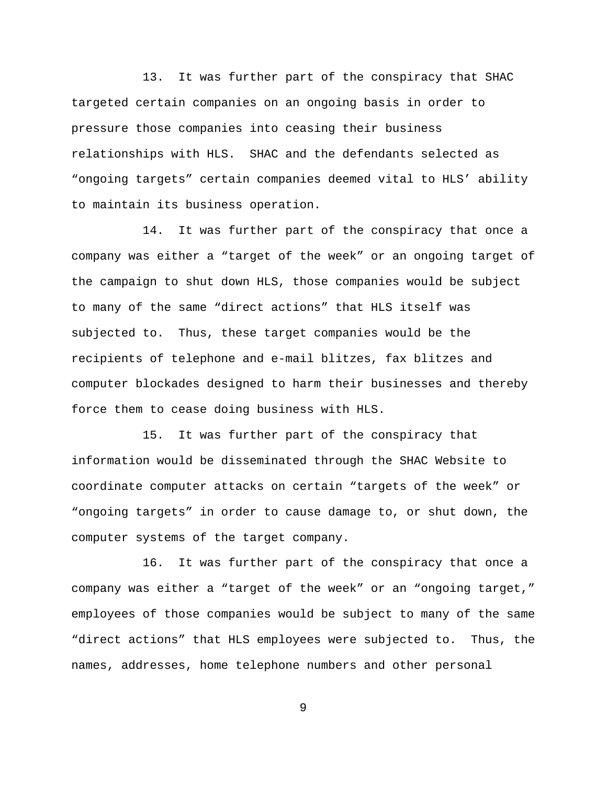13. It was further part of the conspiracy that SHAC targeted certain companies on an ongoing basis in order to pressure those companies into ceasing their business relationships with HLS. SHAC and the defendants selected as "ongoing targets" certain companies deemed vital to HLS' ability to maintain its business operation.

14. It was further part of the conspiracy that once a company was either a "target of the week" or an ongoing target of the campaign to shut down HLS, those companies would be subject to many of the same "direct actions" that HLS itself was subjected to. Thus, these target companies would be the recipients of telephone and e-mail blitzes, fax blitzes and computer blockades designed to harm their businesses and thereby force them to cease doing business with HLS.

15. It was further part of the conspiracy that information would be disseminated through the SHAC Website to coordinate computer attacks on certain "targets of the week" or "ongoing targets" in order to cause damage to, or shut down, the computer systems of the target company.

 16. It was further part of the conspiracy that once a company was either a "target of the week" or an "ongoing target," employees of those companies would be subject to many of the same "direct actions" that HLS employees were subjected to. Thus, the names, addresses, home telephone numbers and other personal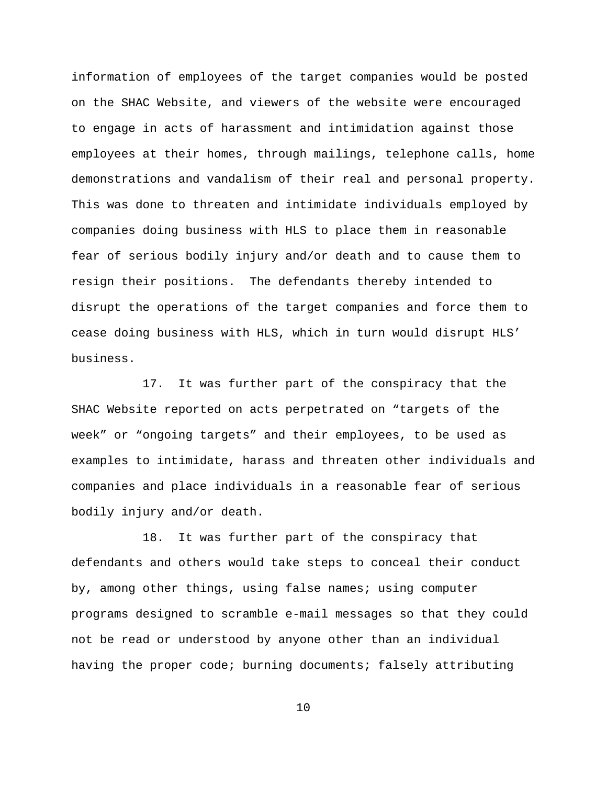information of employees of the target companies would be posted on the SHAC Website, and viewers of the website were encouraged to engage in acts of harassment and intimidation against those employees at their homes, through mailings, telephone calls, home demonstrations and vandalism of their real and personal property. This was done to threaten and intimidate individuals employed by companies doing business with HLS to place them in reasonable fear of serious bodily injury and/or death and to cause them to resign their positions. The defendants thereby intended to disrupt the operations of the target companies and force them to cease doing business with HLS, which in turn would disrupt HLS' business.

17. It was further part of the conspiracy that the SHAC Website reported on acts perpetrated on "targets of the week" or "ongoing targets" and their employees, to be used as examples to intimidate, harass and threaten other individuals and companies and place individuals in a reasonable fear of serious bodily injury and/or death.

18. It was further part of the conspiracy that defendants and others would take steps to conceal their conduct by, among other things, using false names; using computer programs designed to scramble e-mail messages so that they could not be read or understood by anyone other than an individual having the proper code; burning documents; falsely attributing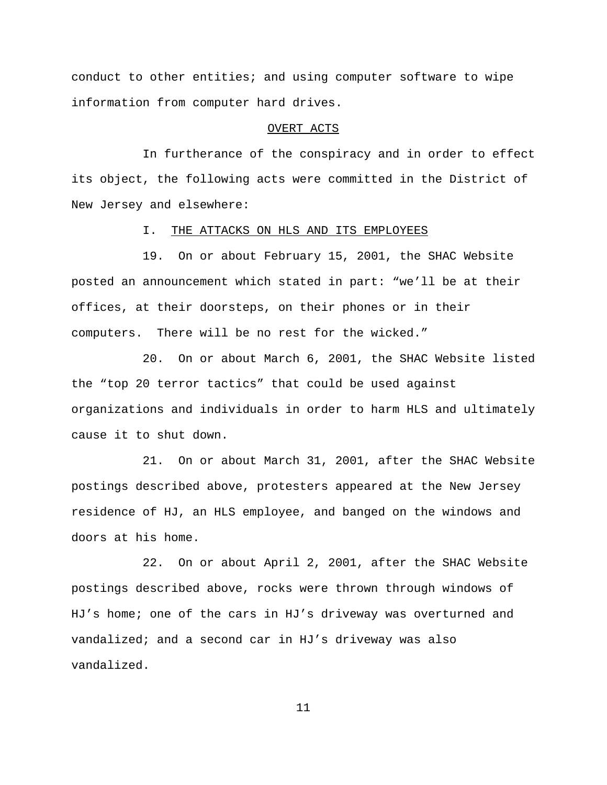conduct to other entities; and using computer software to wipe information from computer hard drives.

#### OVERT ACTS

In furtherance of the conspiracy and in order to effect its object, the following acts were committed in the District of New Jersey and elsewhere:

#### I. THE ATTACKS ON HLS AND ITS EMPLOYEES

19. On or about February 15, 2001, the SHAC Website posted an announcement which stated in part: "we'll be at their offices, at their doorsteps, on their phones or in their computers. There will be no rest for the wicked."

20. On or about March 6, 2001, the SHAC Website listed the "top 20 terror tactics" that could be used against organizations and individuals in order to harm HLS and ultimately cause it to shut down.

21. On or about March 31, 2001, after the SHAC Website postings described above, protesters appeared at the New Jersey residence of HJ, an HLS employee, and banged on the windows and doors at his home.

22. On or about April 2, 2001, after the SHAC Website postings described above, rocks were thrown through windows of HJ's home; one of the cars in HJ's driveway was overturned and vandalized; and a second car in HJ's driveway was also vandalized.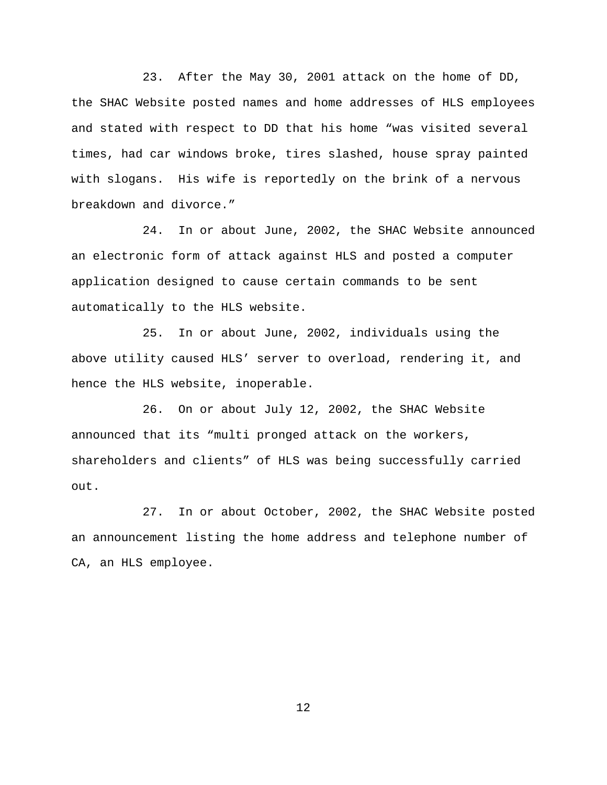23. After the May 30, 2001 attack on the home of DD, the SHAC Website posted names and home addresses of HLS employees and stated with respect to DD that his home "was visited several times, had car windows broke, tires slashed, house spray painted with slogans. His wife is reportedly on the brink of a nervous breakdown and divorce."

24. In or about June, 2002, the SHAC Website announced an electronic form of attack against HLS and posted a computer application designed to cause certain commands to be sent automatically to the HLS website.

25. In or about June, 2002, individuals using the above utility caused HLS' server to overload, rendering it, and hence the HLS website, inoperable.

26. On or about July 12, 2002, the SHAC Website announced that its "multi pronged attack on the workers, shareholders and clients" of HLS was being successfully carried out.

27. In or about October, 2002, the SHAC Website posted an announcement listing the home address and telephone number of CA, an HLS employee.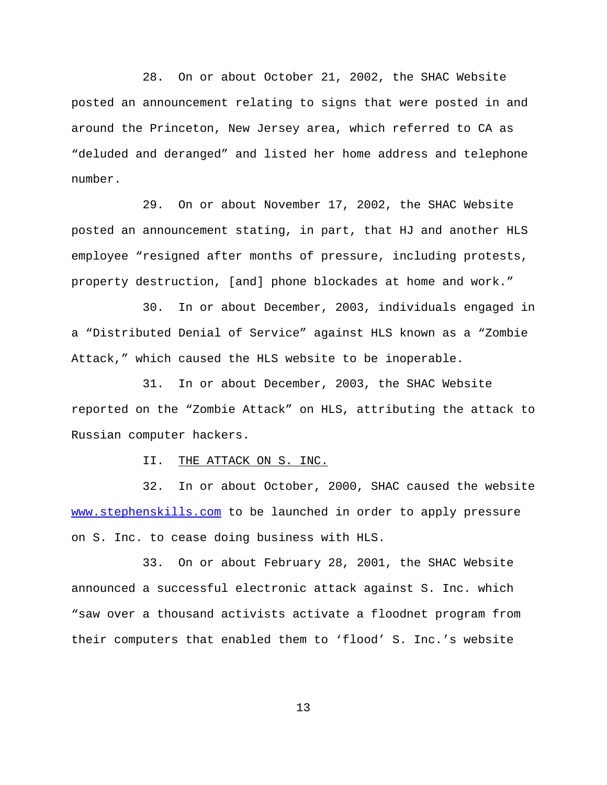28. On or about October 21, 2002, the SHAC Website posted an announcement relating to signs that were posted in and around the Princeton, New Jersey area, which referred to CA as "deluded and deranged" and listed her home address and telephone number.

29. On or about November 17, 2002, the SHAC Website posted an announcement stating, in part, that HJ and another HLS employee "resigned after months of pressure, including protests, property destruction, [and] phone blockades at home and work."

30. In or about December, 2003, individuals engaged in a "Distributed Denial of Service" against HLS known as a "Zombie Attack," which caused the HLS website to be inoperable.

31. In or about December, 2003, the SHAC Website reported on the "Zombie Attack" on HLS, attributing the attack to Russian computer hackers.

II. THE ATTACK ON S. INC.

32. In or about October, 2000, SHAC caused the website www.stephenskills.com to be launched in order to apply pressure on S. Inc. to cease doing business with HLS.

33. On or about February 28, 2001, the SHAC Website announced a successful electronic attack against S. Inc. which "saw over a thousand activists activate a floodnet program from their computers that enabled them to 'flood' S. Inc.'s website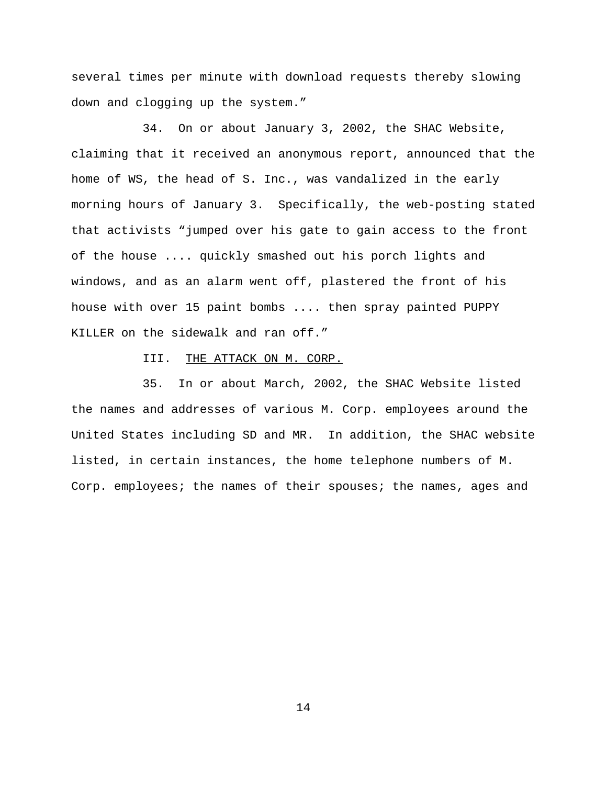several times per minute with download requests thereby slowing down and clogging up the system."

34. On or about January 3, 2002, the SHAC Website, claiming that it received an anonymous report, announced that the home of WS, the head of S. Inc., was vandalized in the early morning hours of January 3. Specifically, the web-posting stated that activists "jumped over his gate to gain access to the front of the house .... quickly smashed out his porch lights and windows, and as an alarm went off, plastered the front of his house with over 15 paint bombs .... then spray painted PUPPY KILLER on the sidewalk and ran off."

III. THE ATTACK ON M. CORP.

35. In or about March, 2002, the SHAC Website listed the names and addresses of various M. Corp. employees around the United States including SD and MR. In addition, the SHAC website listed, in certain instances, the home telephone numbers of M. Corp. employees; the names of their spouses; the names, ages and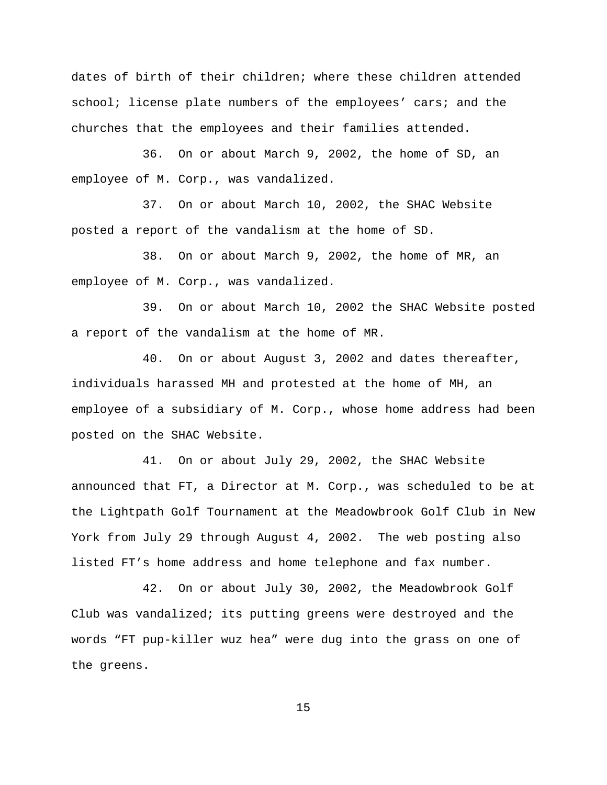dates of birth of their children; where these children attended school; license plate numbers of the employees' cars; and the churches that the employees and their families attended.

36. On or about March 9, 2002, the home of SD, an employee of M. Corp., was vandalized.

37. On or about March 10, 2002, the SHAC Website posted a report of the vandalism at the home of SD.

 38. On or about March 9, 2002, the home of MR, an employee of M. Corp., was vandalized.

39. On or about March 10, 2002 the SHAC Website posted a report of the vandalism at the home of MR.

40. On or about August 3, 2002 and dates thereafter, individuals harassed MH and protested at the home of MH, an employee of a subsidiary of M. Corp., whose home address had been posted on the SHAC Website.

41. On or about July 29, 2002, the SHAC Website announced that FT, a Director at M. Corp., was scheduled to be at the Lightpath Golf Tournament at the Meadowbrook Golf Club in New York from July 29 through August 4, 2002. The web posting also listed FT's home address and home telephone and fax number.

42. On or about July 30, 2002, the Meadowbrook Golf Club was vandalized; its putting greens were destroyed and the words "FT pup-killer wuz hea" were dug into the grass on one of the greens.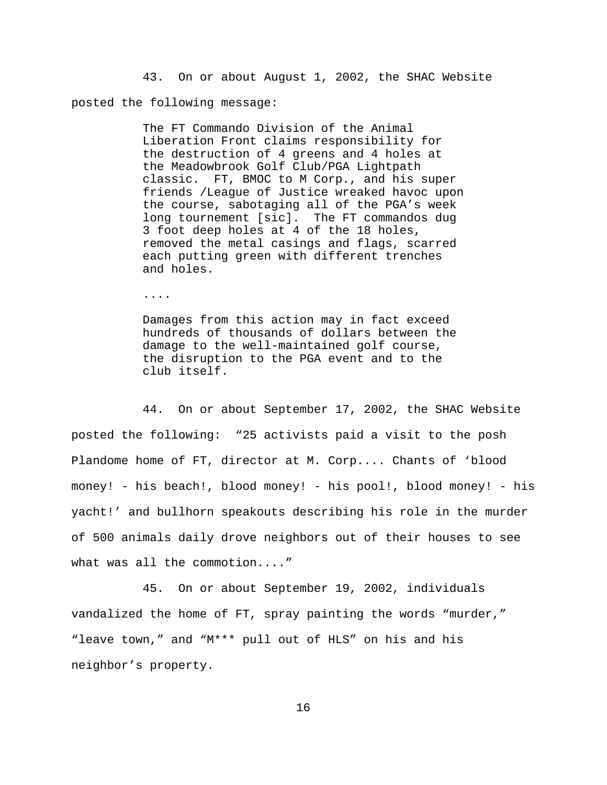43. On or about August 1, 2002, the SHAC Website posted the following message:

> The FT Commando Division of the Animal Liberation Front claims responsibility for the destruction of 4 greens and 4 holes at the Meadowbrook Golf Club/PGA Lightpath classic. FT, BMOC to M Corp., and his super friends /League of Justice wreaked havoc upon the course, sabotaging all of the PGA's week long tournement [sic]. The FT commandos dug 3 foot deep holes at 4 of the 18 holes, removed the metal casings and flags, scarred each putting green with different trenches and holes.

....

Damages from this action may in fact exceed hundreds of thousands of dollars between the damage to the well-maintained golf course, the disruption to the PGA event and to the club itself.

44. On or about September 17, 2002, the SHAC Website posted the following: "25 activists paid a visit to the posh Plandome home of FT, director at M. Corp.... Chants of 'blood money! - his beach!, blood money! - his pool!, blood money! - his yacht!' and bullhorn speakouts describing his role in the murder of 500 animals daily drove neighbors out of their houses to see what was all the commotion...."

45. On or about September 19, 2002, individuals vandalized the home of FT, spray painting the words "murder," "leave town," and "M\*\*\* pull out of HLS" on his and his neighbor's property.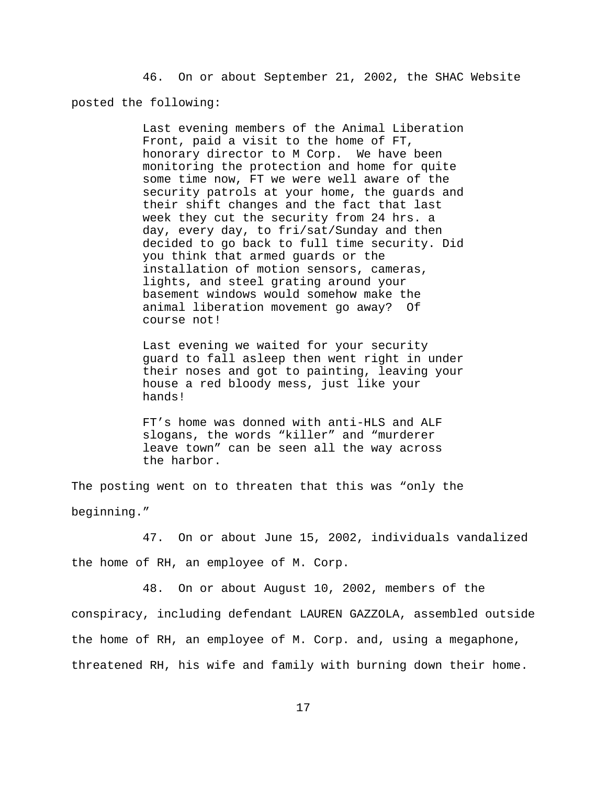46. On or about September 21, 2002, the SHAC Website posted the following:

> Last evening members of the Animal Liberation Front, paid a visit to the home of FT, honorary director to M Corp. We have been monitoring the protection and home for quite some time now, FT we were well aware of the security patrols at your home, the guards and their shift changes and the fact that last week they cut the security from 24 hrs. a day, every day, to fri/sat/Sunday and then decided to go back to full time security. Did you think that armed guards or the installation of motion sensors, cameras, lights, and steel grating around your basement windows would somehow make the animal liberation movement go away? Of course not!

> Last evening we waited for your security guard to fall asleep then went right in under their noses and got to painting, leaving your house a red bloody mess, just like your hands!

FT's home was donned with anti-HLS and ALF slogans, the words "killer" and "murderer leave town" can be seen all the way across the harbor.

The posting went on to threaten that this was "only the

beginning."

47. On or about June 15, 2002, individuals vandalized the home of RH, an employee of M. Corp.

48. On or about August 10, 2002, members of the conspiracy, including defendant LAUREN GAZZOLA, assembled outside the home of RH, an employee of M. Corp. and, using a megaphone, threatened RH, his wife and family with burning down their home.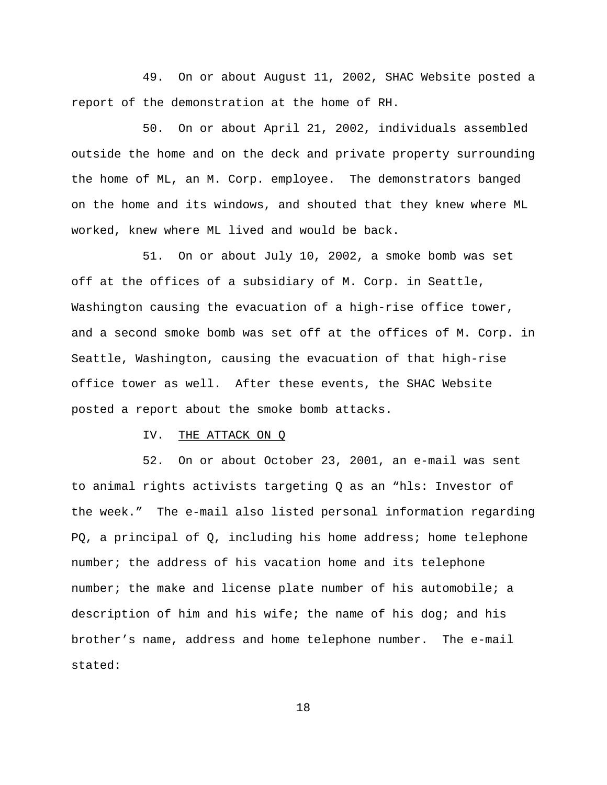49. On or about August 11, 2002, SHAC Website posted a report of the demonstration at the home of RH.

50. On or about April 21, 2002, individuals assembled outside the home and on the deck and private property surrounding the home of ML, an M. Corp. employee. The demonstrators banged on the home and its windows, and shouted that they knew where ML worked, knew where ML lived and would be back.

51. On or about July 10, 2002, a smoke bomb was set off at the offices of a subsidiary of M. Corp. in Seattle, Washington causing the evacuation of a high-rise office tower, and a second smoke bomb was set off at the offices of M. Corp. in Seattle, Washington, causing the evacuation of that high-rise office tower as well. After these events, the SHAC Website posted a report about the smoke bomb attacks.

# IV. THE ATTACK ON Q

52. On or about October 23, 2001, an e-mail was sent to animal rights activists targeting Q as an "hls: Investor of the week." The e-mail also listed personal information regarding PQ, a principal of Q, including his home address; home telephone number; the address of his vacation home and its telephone number; the make and license plate number of his automobile; a description of him and his wife; the name of his dog; and his brother's name, address and home telephone number. The e-mail stated: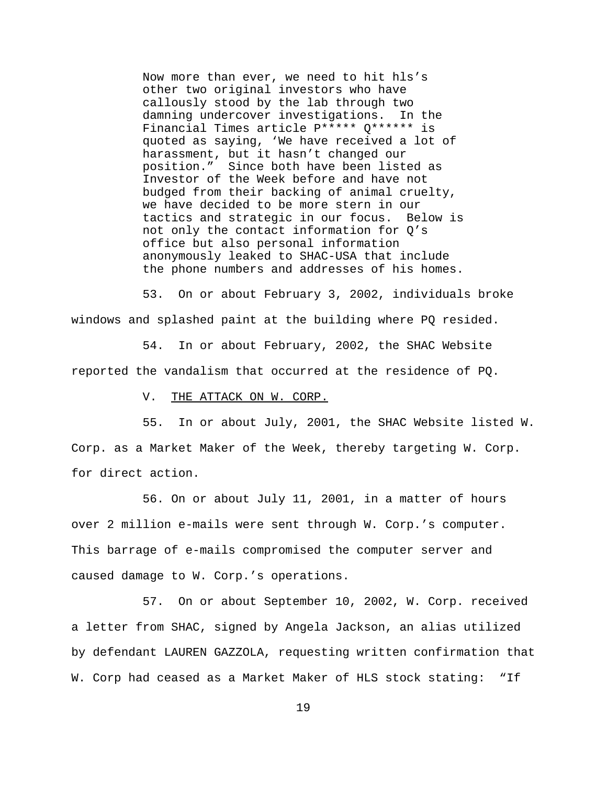Now more than ever, we need to hit hls's other two original investors who have callously stood by the lab through two damning undercover investigations. In the Financial Times article P\*\*\*\*\* Q\*\*\*\*\*\* is quoted as saying, 'We have received a lot of harassment, but it hasn't changed our position." Since both have been listed as Investor of the Week before and have not budged from their backing of animal cruelty, we have decided to be more stern in our tactics and strategic in our focus. Below is not only the contact information for Q's office but also personal information anonymously leaked to SHAC-USA that include the phone numbers and addresses of his homes.

53. On or about February 3, 2002, individuals broke windows and splashed paint at the building where PQ resided.

54. In or about February, 2002, the SHAC Website reported the vandalism that occurred at the residence of PQ.

V. THE ATTACK ON W. CORP.

55. In or about July, 2001, the SHAC Website listed W. Corp. as a Market Maker of the Week, thereby targeting W. Corp. for direct action.

56. On or about July 11, 2001, in a matter of hours over 2 million e-mails were sent through W. Corp.'s computer. This barrage of e-mails compromised the computer server and caused damage to W. Corp.'s operations.

57. On or about September 10, 2002, W. Corp. received a letter from SHAC, signed by Angela Jackson, an alias utilized by defendant LAUREN GAZZOLA, requesting written confirmation that W. Corp had ceased as a Market Maker of HLS stock stating: "If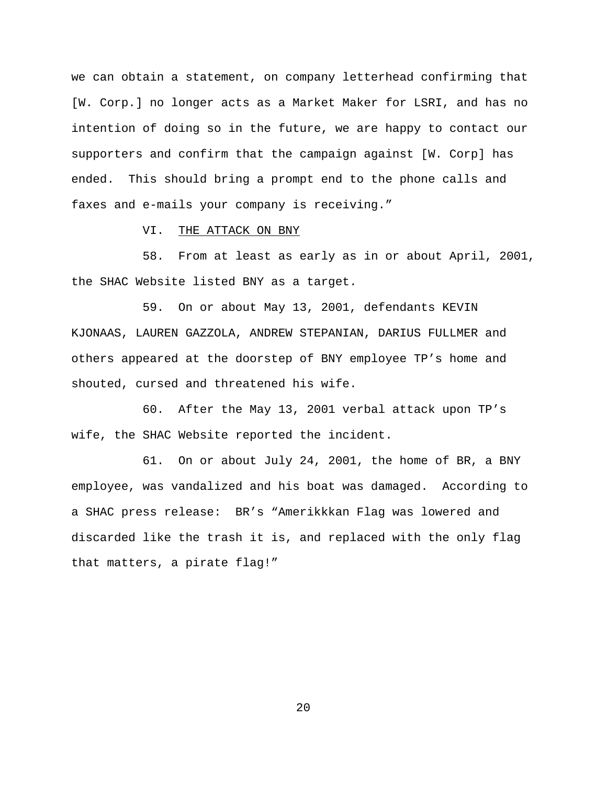we can obtain a statement, on company letterhead confirming that [W. Corp.] no longer acts as a Market Maker for LSRI, and has no intention of doing so in the future, we are happy to contact our supporters and confirm that the campaign against [W. Corp] has ended. This should bring a prompt end to the phone calls and faxes and e-mails your company is receiving."

VI. THE ATTACK ON BNY

58. From at least as early as in or about April, 2001, the SHAC Website listed BNY as a target.

59. On or about May 13, 2001, defendants KEVIN KJONAAS, LAUREN GAZZOLA, ANDREW STEPANIAN, DARIUS FULLMER and others appeared at the doorstep of BNY employee TP's home and shouted, cursed and threatened his wife.

60. After the May 13, 2001 verbal attack upon TP's wife, the SHAC Website reported the incident.

61. On or about July 24, 2001, the home of BR, a BNY employee, was vandalized and his boat was damaged. According to a SHAC press release: BR's "Amerikkkan Flag was lowered and discarded like the trash it is, and replaced with the only flag that matters, a pirate flag!"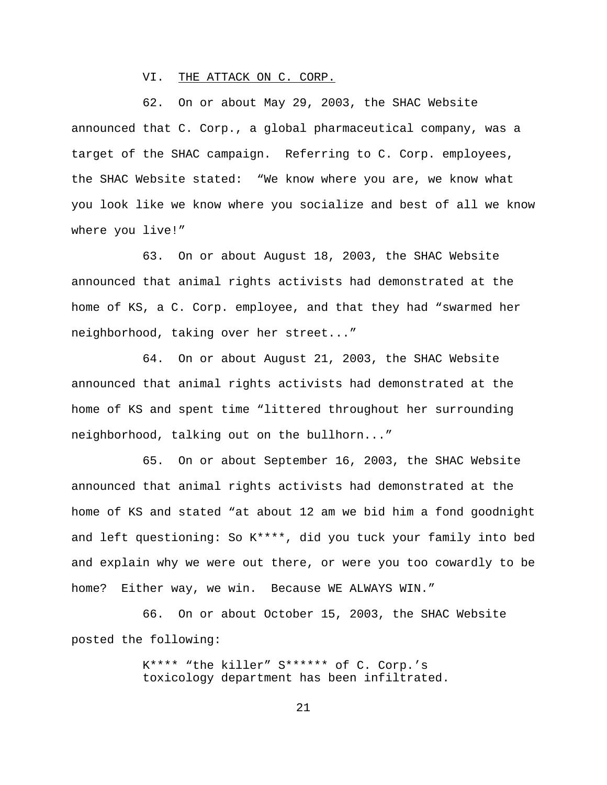VI. THE ATTACK ON C. CORP.

62. On or about May 29, 2003, the SHAC Website announced that C. Corp., a global pharmaceutical company, was a target of the SHAC campaign. Referring to C. Corp. employees, the SHAC Website stated: "We know where you are, we know what you look like we know where you socialize and best of all we know where you live!"

63. On or about August 18, 2003, the SHAC Website announced that animal rights activists had demonstrated at the home of KS, a C. Corp. employee, and that they had "swarmed her neighborhood, taking over her street..."

64. On or about August 21, 2003, the SHAC Website announced that animal rights activists had demonstrated at the home of KS and spent time "littered throughout her surrounding neighborhood, talking out on the bullhorn..."

65. On or about September 16, 2003, the SHAC Website announced that animal rights activists had demonstrated at the home of KS and stated "at about 12 am we bid him a fond goodnight and left questioning: So K\*\*\*\*, did you tuck your family into bed and explain why we were out there, or were you too cowardly to be home? Either way, we win. Because WE ALWAYS WIN."

66. On or about October 15, 2003, the SHAC Website posted the following:

> K\*\*\*\* "the killer" S\*\*\*\*\*\* of C. Corp.'s toxicology department has been infiltrated.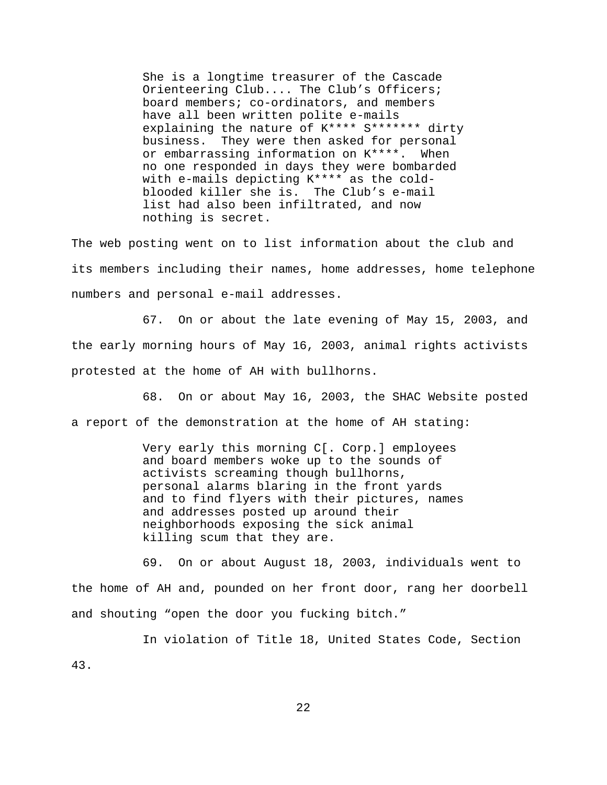She is a longtime treasurer of the Cascade Orienteering Club.... The Club's Officers; board members; co-ordinators, and members have all been written polite e-mails explaining the nature of K\*\*\*\* S\*\*\*\*\*\*\* dirty business. They were then asked for personal or embarrassing information on K\*\*\*\*. When no one responded in days they were bombarded with e-mails depicting K\*\*\*\* as the coldblooded killer she is. The Club's e-mail list had also been infiltrated, and now nothing is secret.

The web posting went on to list information about the club and its members including their names, home addresses, home telephone numbers and personal e-mail addresses.

67. On or about the late evening of May 15, 2003, and the early morning hours of May 16, 2003, animal rights activists protested at the home of AH with bullhorns.

68. On or about May 16, 2003, the SHAC Website posted a report of the demonstration at the home of AH stating:

> Very early this morning C[. Corp.] employees and board members woke up to the sounds of activists screaming though bullhorns, personal alarms blaring in the front yards and to find flyers with their pictures, names and addresses posted up around their neighborhoods exposing the sick animal killing scum that they are.

69. On or about August 18, 2003, individuals went to the home of AH and, pounded on her front door, rang her doorbell and shouting "open the door you fucking bitch."

 In violation of Title 18, United States Code, Section 43.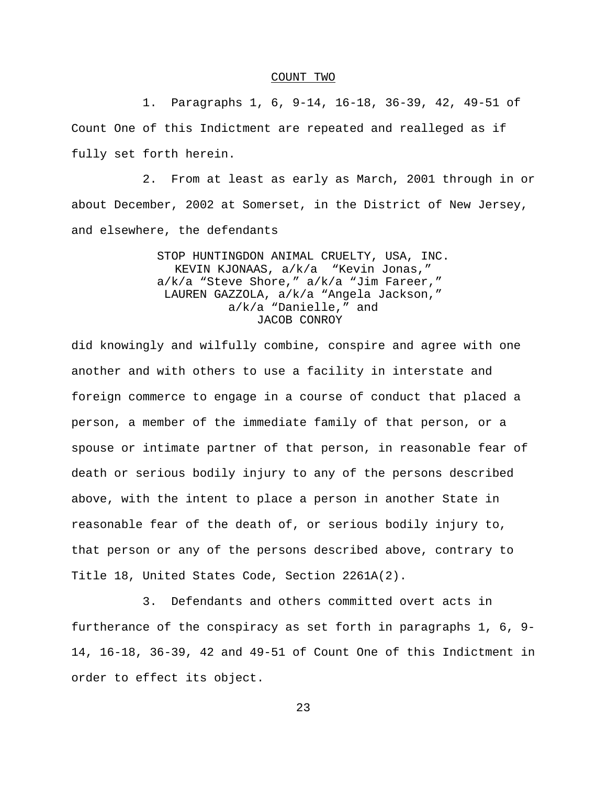#### COUNT TWO

 1. Paragraphs 1, 6, 9-14, 16-18, 36-39, 42, 49-51 of Count One of this Indictment are repeated and realleged as if fully set forth herein.

2. From at least as early as March, 2001 through in or about December, 2002 at Somerset, in the District of New Jersey, and elsewhere, the defendants

> STOP HUNTINGDON ANIMAL CRUELTY, USA, INC. KEVIN KJONAAS, a/k/a "Kevin Jonas," a/k/a "Steve Shore," a/k/a "Jim Fareer," LAUREN GAZZOLA, a/k/a "Angela Jackson," a/k/a "Danielle," and JACOB CONROY

did knowingly and wilfully combine, conspire and agree with one another and with others to use a facility in interstate and foreign commerce to engage in a course of conduct that placed a person, a member of the immediate family of that person, or a spouse or intimate partner of that person, in reasonable fear of death or serious bodily injury to any of the persons described above, with the intent to place a person in another State in reasonable fear of the death of, or serious bodily injury to, that person or any of the persons described above, contrary to Title 18, United States Code, Section 2261A(2).

3. Defendants and others committed overt acts in furtherance of the conspiracy as set forth in paragraphs 1, 6, 9- 14, 16-18, 36-39, 42 and 49-51 of Count One of this Indictment in order to effect its object.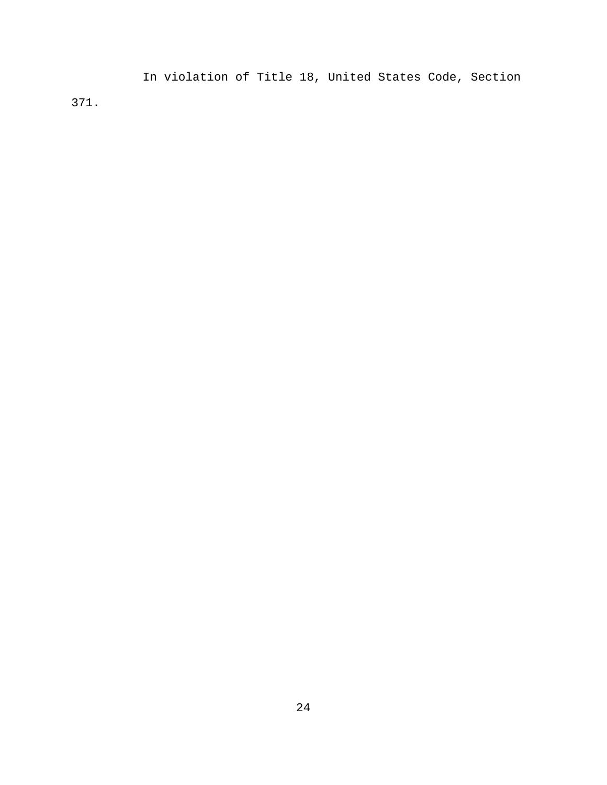In violation of Title 18, United States Code, Section 371.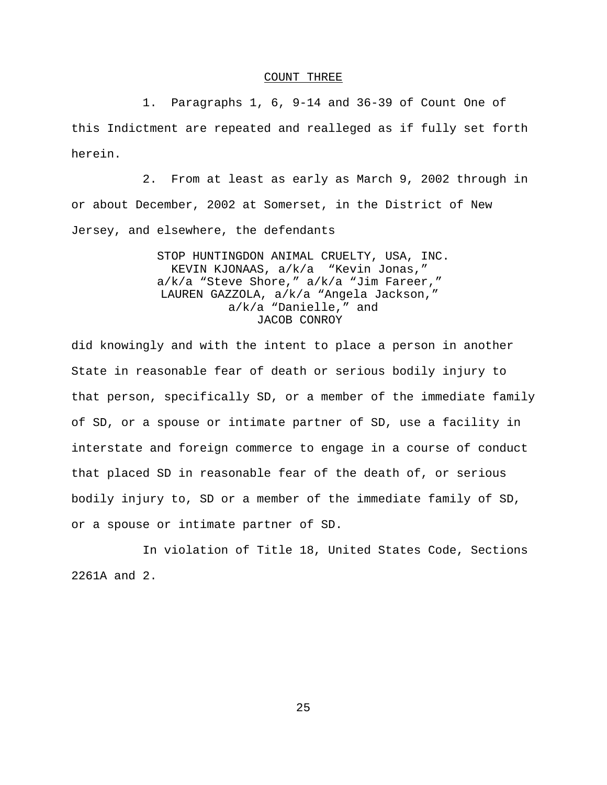### COUNT THREE

 1. Paragraphs 1, 6, 9-14 and 36-39 of Count One of this Indictment are repeated and realleged as if fully set forth herein.

2. From at least as early as March 9, 2002 through in or about December, 2002 at Somerset, in the District of New Jersey, and elsewhere, the defendants

> STOP HUNTINGDON ANIMAL CRUELTY, USA, INC. KEVIN KJONAAS, a/k/a "Kevin Jonas," a/k/a "Steve Shore," a/k/a "Jim Fareer," LAUREN GAZZOLA, a/k/a "Angela Jackson," a/k/a "Danielle," and JACOB CONROY

did knowingly and with the intent to place a person in another State in reasonable fear of death or serious bodily injury to that person, specifically SD, or a member of the immediate family of SD, or a spouse or intimate partner of SD, use a facility in interstate and foreign commerce to engage in a course of conduct that placed SD in reasonable fear of the death of, or serious bodily injury to, SD or a member of the immediate family of SD, or a spouse or intimate partner of SD.

In violation of Title 18, United States Code, Sections 2261A and 2.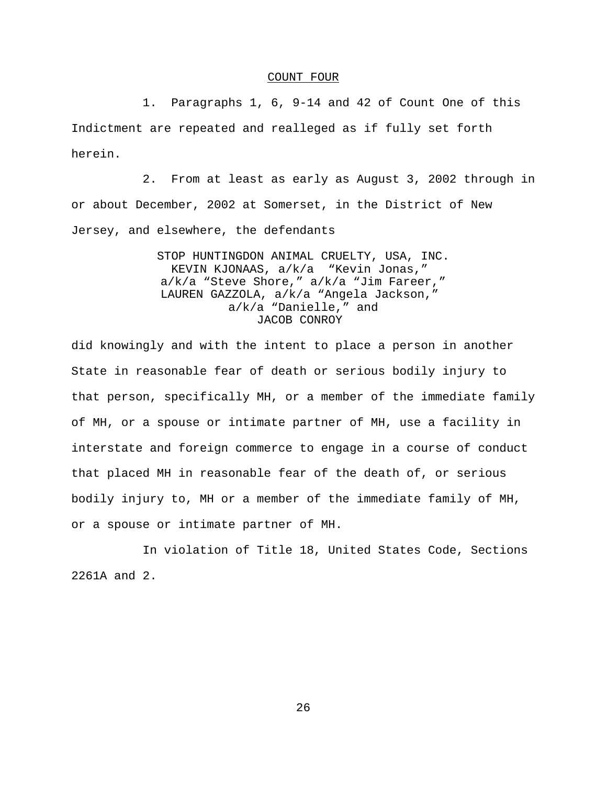### COUNT FOUR

 1. Paragraphs 1, 6, 9-14 and 42 of Count One of this Indictment are repeated and realleged as if fully set forth herein.

2. From at least as early as August 3, 2002 through in or about December, 2002 at Somerset, in the District of New Jersey, and elsewhere, the defendants

> STOP HUNTINGDON ANIMAL CRUELTY, USA, INC. KEVIN KJONAAS, a/k/a "Kevin Jonas," a/k/a "Steve Shore," a/k/a "Jim Fareer," LAUREN GAZZOLA, a/k/a "Angela Jackson," a/k/a "Danielle," and JACOB CONROY

did knowingly and with the intent to place a person in another State in reasonable fear of death or serious bodily injury to that person, specifically MH, or a member of the immediate family of MH, or a spouse or intimate partner of MH, use a facility in interstate and foreign commerce to engage in a course of conduct that placed MH in reasonable fear of the death of, or serious bodily injury to, MH or a member of the immediate family of MH, or a spouse or intimate partner of MH.

In violation of Title 18, United States Code, Sections 2261A and 2.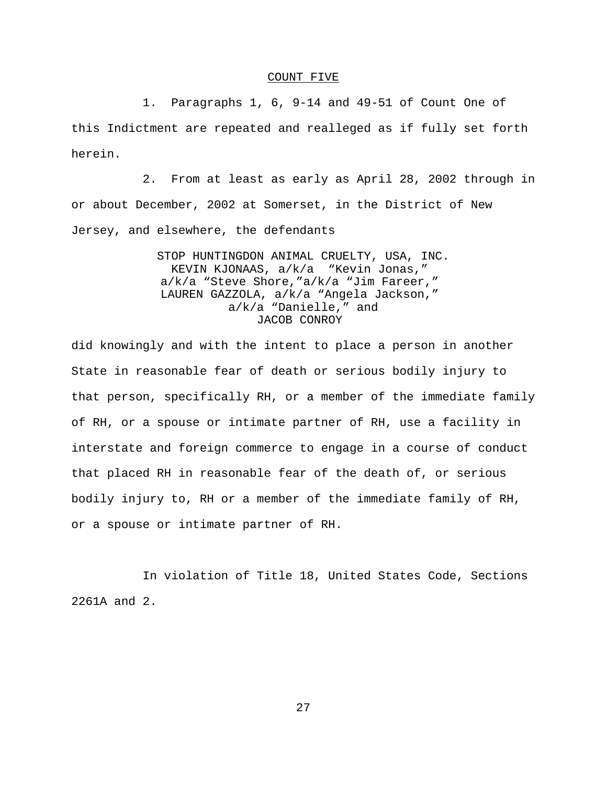### COUNT FIVE

 1. Paragraphs 1, 6, 9-14 and 49-51 of Count One of this Indictment are repeated and realleged as if fully set forth herein.

2. From at least as early as April 28, 2002 through in or about December, 2002 at Somerset, in the District of New Jersey, and elsewhere, the defendants

> STOP HUNTINGDON ANIMAL CRUELTY, USA, INC. KEVIN KJONAAS, a/k/a "Kevin Jonas," a/k/a "Steve Shore,"a/k/a "Jim Fareer," LAUREN GAZZOLA, a/k/a "Angela Jackson," a/k/a "Danielle," and JACOB CONROY

did knowingly and with the intent to place a person in another State in reasonable fear of death or serious bodily injury to that person, specifically RH, or a member of the immediate family of RH, or a spouse or intimate partner of RH, use a facility in interstate and foreign commerce to engage in a course of conduct that placed RH in reasonable fear of the death of, or serious bodily injury to, RH or a member of the immediate family of RH, or a spouse or intimate partner of RH.

In violation of Title 18, United States Code, Sections 2261A and 2.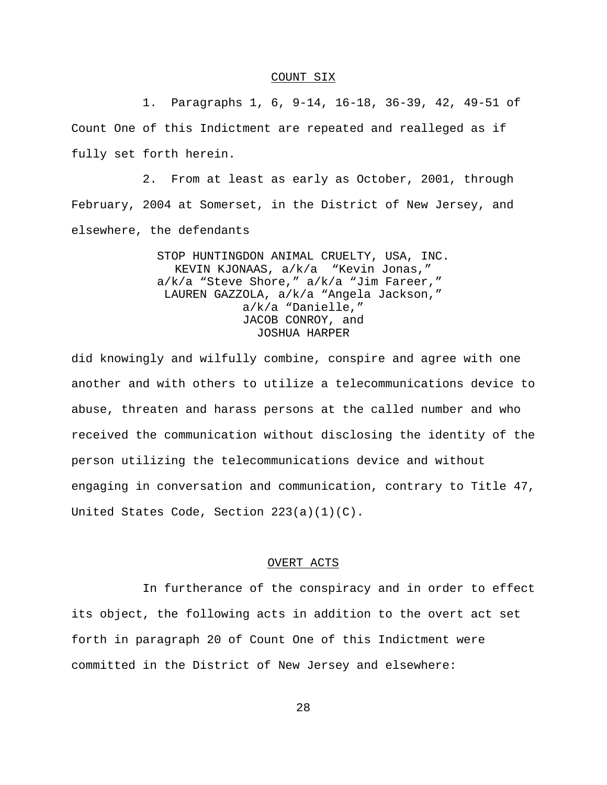### COUNT SIX

 1. Paragraphs 1, 6, 9-14, 16-18, 36-39, 42, 49-51 of Count One of this Indictment are repeated and realleged as if fully set forth herein.

2. From at least as early as October, 2001, through February, 2004 at Somerset, in the District of New Jersey, and elsewhere, the defendants

> STOP HUNTINGDON ANIMAL CRUELTY, USA, INC. KEVIN KJONAAS, a/k/a "Kevin Jonas," a/k/a "Steve Shore," a/k/a "Jim Fareer," LAUREN GAZZOLA, a/k/a "Angela Jackson," a/k/a "Danielle," JACOB CONROY, and JOSHUA HARPER

did knowingly and wilfully combine, conspire and agree with one another and with others to utilize a telecommunications device to abuse, threaten and harass persons at the called number and who received the communication without disclosing the identity of the person utilizing the telecommunications device and without engaging in conversation and communication, contrary to Title 47, United States Code, Section 223(a)(1)(C).

# OVERT ACTS

In furtherance of the conspiracy and in order to effect its object, the following acts in addition to the overt act set forth in paragraph 20 of Count One of this Indictment were committed in the District of New Jersey and elsewhere: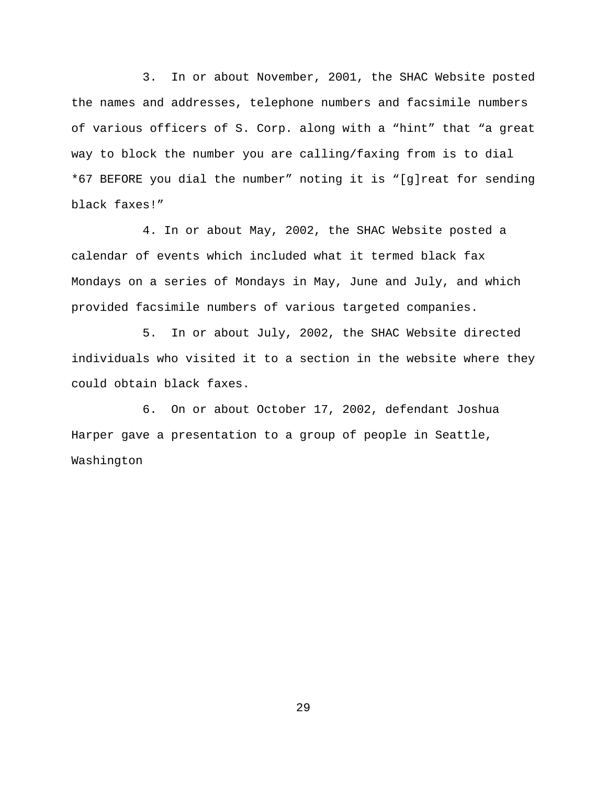3. In or about November, 2001, the SHAC Website posted the names and addresses, telephone numbers and facsimile numbers of various officers of S. Corp. along with a "hint" that "a great way to block the number you are calling/faxing from is to dial \*67 BEFORE you dial the number" noting it is "[g]reat for sending black faxes!"

 4. In or about May, 2002, the SHAC Website posted a calendar of events which included what it termed black fax Mondays on a series of Mondays in May, June and July, and which provided facsimile numbers of various targeted companies.

5. In or about July, 2002, the SHAC Website directed individuals who visited it to a section in the website where they could obtain black faxes.

6. On or about October 17, 2002, defendant Joshua Harper gave a presentation to a group of people in Seattle, Washington